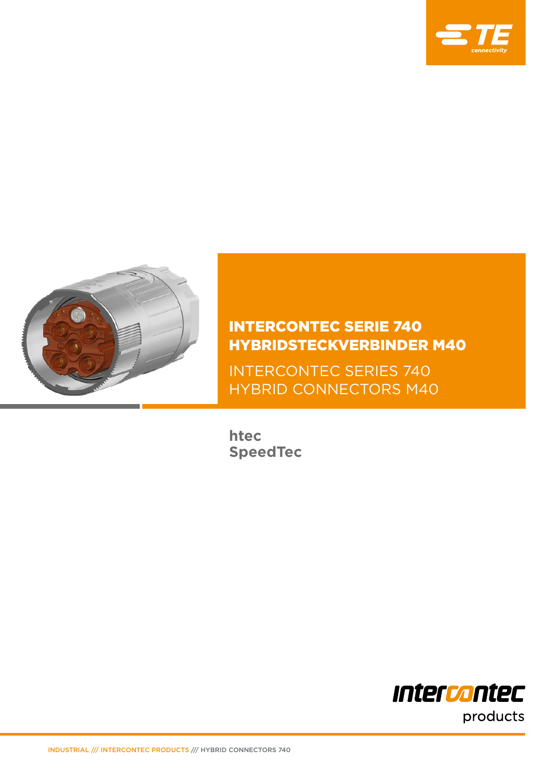



INTERCONTEC SERIE 740 HYBRIDSTECKVERBINDER M40

INTERCONTEC SERIES 740 HYBRID CONNECTORS M40

**htec SpeedTec**

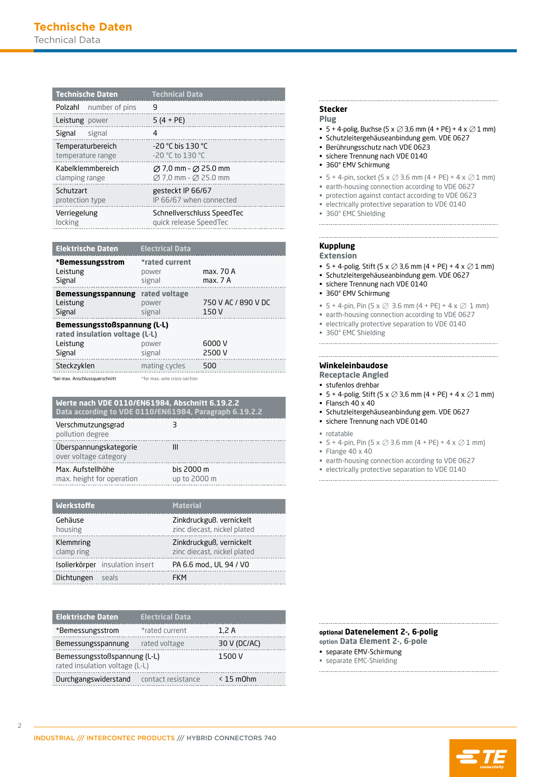| <b>Technische Daten</b>       | <b>Technical Data</b>                        |
|-------------------------------|----------------------------------------------|
| <b>Polzahl</b> number of pins | 9                                            |
| Leistung power                | $5(4 + PE)$                                  |
| Signal<br>signal              | 4                                            |
| Temperaturbereich             | $-20$ °C bis 130 °C                          |
| temperature range             | $-20$ °C to 130 °C                           |
| Kabelklemmbereich             | $\varnothing$ 7,0 mm - $\varnothing$ 25.0 mm |
| clamping range                | $\varnothing$ 7,0 mm - $\varnothing$ 25.0 mm |
| Schutzart                     | gesteckt IP 66/67                            |
| protection type               | IP 66/67 when connected                      |
| Verriegelung                  | Schnellverschluss SpeedTec                   |
| locking                       | quick release SpeedTec                       |

| <b>Elektrische Daten</b>                                       | <b>Electrical Data</b>            |                              |
|----------------------------------------------------------------|-----------------------------------|------------------------------|
| *Bemessungsstrom<br>Leistung<br>Signal                         | *rated current<br>power<br>signal | max. 70 A<br>max. 7 A        |
| Bemessungsspannung<br>Leistung<br>Signal                       | rated voltage<br>power<br>signal  | 750 V AC / 890 V DC<br>150 V |
| Bemessungsstoßspannung (L-L)<br>rated insulation voltage (L-L) |                                   |                              |
| Leistung<br>Signal                                             | power<br>signal                   | 6000 V<br>2500 V             |
| Steckzyklen                                                    | mating cycles                     | 500                          |
| *bei max. Anschlussquerschnitt                                 | *for max, wire cross-section      |                              |

#### **Data according to VDE 0110/EN61984, Paragraph 6.19.2.2 Werte nach VDE 0110/EN61984, Abschnitt 6.19.2.2**

| Verschmutzungsgrad<br>pollution degree          |                            |
|-------------------------------------------------|----------------------------|
| Uberspannungskategorie<br>over voltage category | Ш                          |
| Max. Aufstellhöhe<br>max. height for operation  | bis 2000 m<br>up to 2000 m |

| <b>Werkstoffe</b>       |                   | <b>Material</b>                                         |
|-------------------------|-------------------|---------------------------------------------------------|
| Gehäuse<br>housing      |                   | Zinkdruckguß, vernickelt<br>zinc diecast, nickel plated |
| Klemmring<br>clamp ring |                   | Zinkdruckguß, vernickelt<br>zinc diecast, nickel plated |
| Isolierkörper           | insulation insert | PA 6.6 mod., UL 94 / VO                                 |
| Dichtungen              | seals             | FKM                                                     |

| <b>Elektrische Daten</b>                                       | <b>Electrical Data</b> |                |
|----------------------------------------------------------------|------------------------|----------------|
| *Bemessungsstrom                                               | *rated current         | 1.2A           |
| Bemessungsspannung                                             | rated voltage          | 30 V (DC/AC)   |
| Bemessungsstoßspannung (L-L)<br>rated insulation voltage (L-L) |                        | 1500 V         |
| Durchgangswiderstand contact resistance                        |                        | $\leq$ 15 m0hm |

# **Stecker**

# **Plug**

- 5 + 4-polig, Buchse (5 x  $\oslash$  3,6 mm (4 + PE) + 4 x  $\oslash$  1 mm)
- Schutzleitergehäuseanbindung gem. VDE 0627
- Berührungsschutz nach VDE 0623
- sichere Trennung nach VDE 0140
- 360° EMV Schirmung
- 5 + 4-pin, socket (5 x  $\oslash$  3.6 mm (4 + PE) + 4 x  $\oslash$  1 mm)
- earth-housing connection according to VDE 0627
- protection against contact according to VDE 0623
- electrically protective separation to VDE 0140
- 360° EMC Shielding

# **Kupplung**

- **Extension**
- 5 + 4-polig, Stift (5 x  $\oslash$  3,6 mm (4 + PE) + 4 x  $\oslash$  1 mm)
- Schutzleitergehäuseanbindung gem. VDE 0627
- sichere Trennung nach VDE 0140
- 360° EMV Schirmung
- 5 + 4-pin, Pin (5 x  $\oslash$  3.6 mm (4 + PE) + 4 x  $\oslash$  1 mm)
- earth-housing connection according to VDE 0627
- electrically protective separation to VDE 0140
- 360° EMC Shielding

#### **Winkeleinbaudose**

**Receptacle Angled**

• stufenlos drehbar

- 5 + 4-polig, Stift (5 x  $\oslash$  3,6 mm (4 + PE) + 4 x  $\oslash$  1 mm)
- $\cdot$  Flansch 40 x 40
- Schutzleitergehäuseanbindung gem. VDE 0627
- sichere Trennung nach VDE 0140
- rotatable
- 5 + 4-pin, Pin (5 x  $\oslash$  3.6 mm (4 + PE) + 4 x  $\oslash$  1 mm)
- Flange 40 x 40
- earth-housing connection according to VDE 0627
- electrically protective separation to VDE 0140

#### **option Data Element 2-, 6-pole optional Datenelement 2-, 6-polig**

- separate EMV-Schirmung
- separate EMC-Shielding
- 

 $\overline{2}$ 

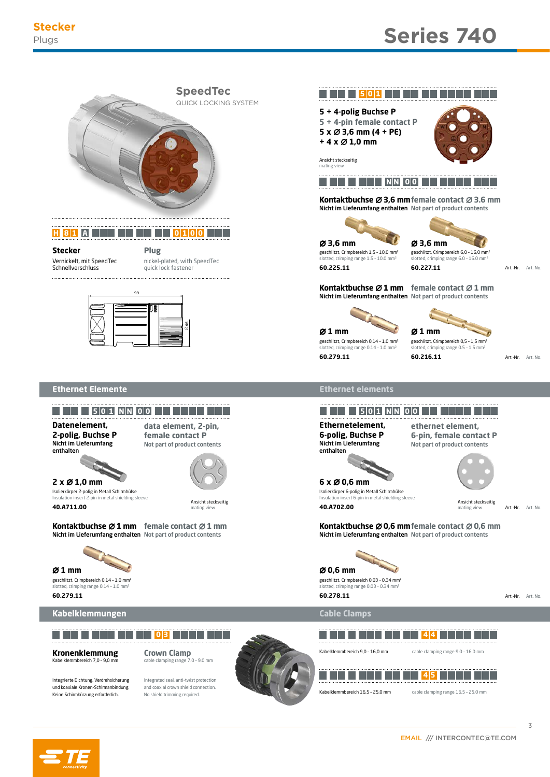

**H 8 1 A 0 1 0 0**

Vernickelt, mit SpeedTec **Schnellverschluss Stecker**

nickel-plated, with SpeedTec quick lock fastener **Plug**



## **Ethernet Elemente**



**2 x** m **1,0 mm**

**40.A711.00**

Nicht im Lieferumfang enthalten Not part of product contents **Kontaktbuchse Ø1 mm** female contact Ø1 mm

 **0 3**



**60.279.11**

# **Kabelklemmungen**

#### Kabelklemmbereich 7,0 - 9,0 m **Kronenklemmung**

Integrierte Dichtung, Verdrehsicherung und koaxiale Kronen-Schirmanbindung. Keine Schirmkürzung erforderlich.

Integrated seal, anti-twist protection and coaxial crown shield connection. No shield trimming required.

**Crown Clamp** cable clamping range 7.0 – 9.0 mm







Nicht im Lieferumfang enthalten Not part of product contents **Kontaktbuchse**  $\varnothing$  **3,6 mm** female contact  $\varnothing$  3.6 mm



lotted, crimping range 1.5 - 10.0 mm<sup>3</sup>

mating view

**60.225.11**



slotted, crimping range 6.0 – 16.0 mm² geschlitzt, Crimpbereich 6,0 – 16,0 mm² **60.227.11**

Art.-Nr. Art. No.

Nicht im Lieferumfang enthalten Not part of product contents **Kontaktbuchse**  $\varnothing$  **1 mm** female contact  $\varnothing$  1 mm

lotted, crimping range 0.14 - 1.0 mm geschlitzt, Crimpbereich 0,14 – 1,0 mm² m **1 mm** m **1 mm 60.279.11**



slotted, crimping range 0.5 - 1.5 mm geschlitzt, Crimpbereich 0,5 – 1,5 mm² **60.216.11**

Art.-Nr. Art. No.

# **Ethernet elements**





slotted, crimping range 0.14 – 1.0 mm² slotted, crimping range 0.03 - 0.34 mm² **60.278.11**

Art.-Nr. Art. No.

Art. No.

3

# **Cable Clamps**

 **4 4** Kabelklemmbereich 9,0 – 16,0 mm cable clamping range 9.0 – 16.0 mm  **4 5** ٠ T T Kabelklemmbereich 16,5 – 25,0 mm cable clamping range 16.5 – 25.0 mm

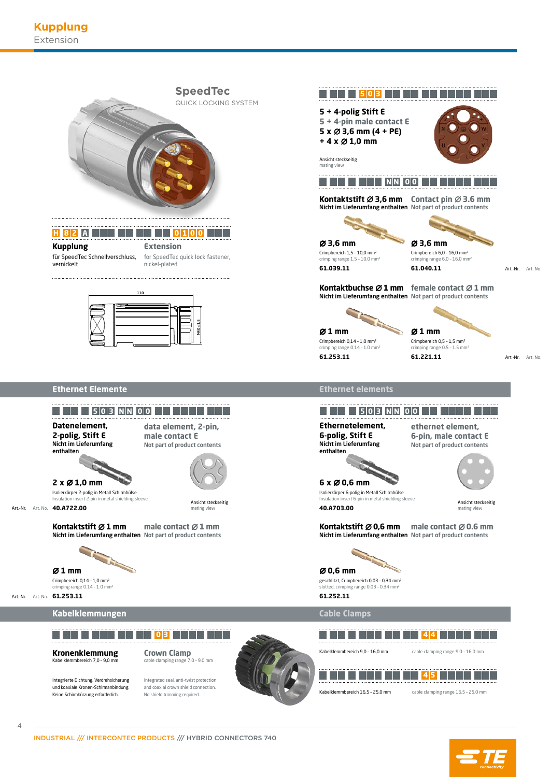

**H 8 2 A 0 1 0 0**

für SpeedTec Schnellverschluss, **Kupplung**

vernickelt

for SpeedTec quick lock fastener, **Extension**

nickel-plated



# **Ethernet Elemente**

Integrierte Dichtung, Verdrehsicherung und koaxiale Kronen-Schirmanbindung. Keine Schirmkürzung erforderlich.

 $\Delta$ 

Art.-Nr.



Integrated seal, anti-twist protection and coaxial crown shield connection. No shield trimming required.



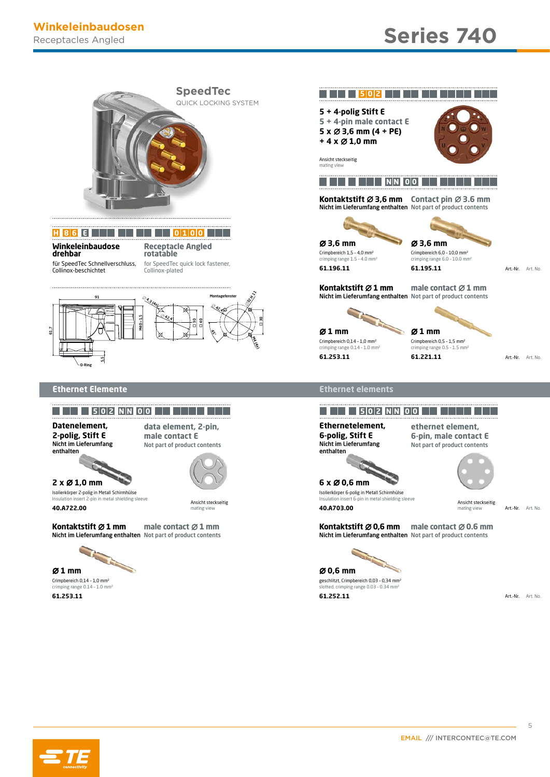

# **H 8 6 E 0 1 0 0**

**Winkeleinbaudose drehbar** für SpeedTec Schnellverschluss, Collinox-beschichtet

**Receptacle Angled rotatable** for SpeedTec quick lock fastener, Collinox-plated



## **Ethernet Elemente**

**Datenelement, 2-polig, Stift E** Nicht im Lieferumfang enthalten

**data element, 2-pin, male contact E**



Insulation insert 2-pin in metal shielding sleeve **Insulation insert 6-pin in metal shielding sleeve** Insulation insert 6-pin in metal shielding sleeve Isolierkörper 2-polig in Metall Schirmhülse Isolierkörper 6-polig in Metall Schirmhülse **40.A722.00 40.A703.00**

mating view matters of the contract of the contract of the contract of the contract of the contract of the contract of the matter of the matter view matter view matter view matter view matter view matter view matter view m

Nicht im Lieferumfang enthalten Not part of product contents **Kontaktstift**  $\emptyset$  **1 mm** and  $\emptyset$  **1 mm Kontaktstift**  $\emptyset$  **0,6 mm** 



**61.253.11 61.252.11**





Nicht im Lieferumfang enthalten Not part of product contents **Kontaktstift Ø 3,6 mm** Contact pin Ø 3.6 mm



crimping range 1.5 – 4.0 mm²

Crimpbereich 1,5 – 4,0 mm²

**61.196.11**



crimping range 6.0 - 10.0 mm **61.195.11**

Art.-Nr. Art. No.

Nicht im Lieferumfang enthalten Not part of product contents **male contact**  $\varnothing$  **1 mm Kontaktstift Ø1 mm** 

crimping range 0.14 – 1.0 mm² Crimpbereich 0,14 – 1,0 mm² **61.253.11 61.221.11** m **1 mm** m **1 mm**

crimping range 0.5 – 1.5 mm² Crimpbereich 0,5 – 1,5 mm²

Art.-Nr. Art. No.

# **Ethernet elements**

# **5 0 2 N N 0 0 5 0 2 N N 0 0**

**Ethernetelement, 6-polig, Stift E** Nicht im Lieferumfang enthalten

**ethernet element, 6-pin, male contact E** Not part of product contents **Nicht im Lieferumfang** Not part of product contents

Ansicht steckseitig Ansicht steckseitig Art.-Nr.

Nicht im Lieferumfang enthalten Not part of product contents **male contact**  $\emptyset$  **1 mm**<br>**Kontaktstift**  $\emptyset$  **0,6 mm male contact**  $\emptyset$  **0.6 mm** 



crimping range 0.14 – 1.0 mm² slotted, crimping range 0.03 – 0.34 mm²

Art.-Nr. Art. No.

Art. No.

5

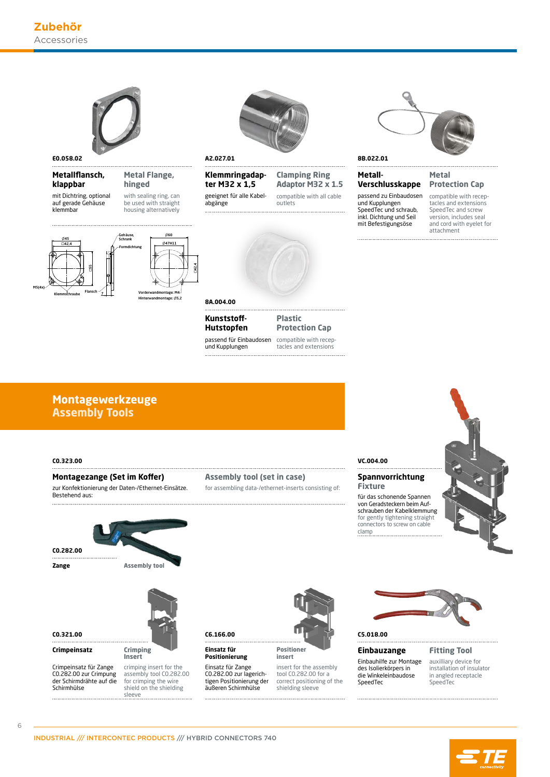

M5(4x)

#### **Metallflansch, klappbar**

mit Dichtring, optional auf gerade Gehäuse klemmbar





Vorderwandmontage: M4 Hinterwandmontage: Ø5,2

with sealing ring, can be used with straight housing alternatively

**Metal Flange, hinged**

**Klemmringadapter M32 x 1,5**

geeignet für alle Kabelabgänge





### **Metal Verschlusskappe**

passend zu Einbaudosen und Kupplungen SpeedTec und schraub, inkl. Dichtung und Seil mit Befestigungsöse

**Metall-**



compatible with receptacles and extensions SpeedTec and screw version, includes seal and cord with eyelet for attachment



passend für Einbaudosen und Kupplungen **Kunststoff-Hutstopfen**

compatible with recep-**Plastic Protection Cap**

tacles and extensions

# **Assembly Tools Montagewerkzeuge**

#### **C0.323.00**

## **Montagezange (Set im Koffer)**

zur Konfektionierung der Daten-/Ethernet-Einsätze. Bestehend aus:

## **Assembly tool (set in case)**

for assembling data-/ethernet-inserts consisting of:

# **VC.004.00**

# **Spannvorrichtung**

**Fixture** for gently tightening straight connectors to screw on cable clamp für das schonende Spannen von Geradsteckern beim Auf-schrauben der Kabelklemmung





**Insert**

**Zange**





Crimpeinsatz für Zange C0.282.00 zur Crimpung der Schirmdrähte auf die Schirmhülse



crimping insert for the assembly tool C0.282.00 for crimping the wire shield on the shielding sleeve



insert for the assembly tool C0.282.00 for a correct positioning of the shielding sleeve **insert**



**Einbauzange**

Einbauhilfe zur Montage des Isolierkörpers in die Winkeleinbaudose SpeedTec

**Fitting Tool**

auxilliary device for installation of insulator in angled receptacle SpeedTec



Einsatz für Zange C0.282.00 zur lagerichtigen Positionierung der äußeren Schirmhülse

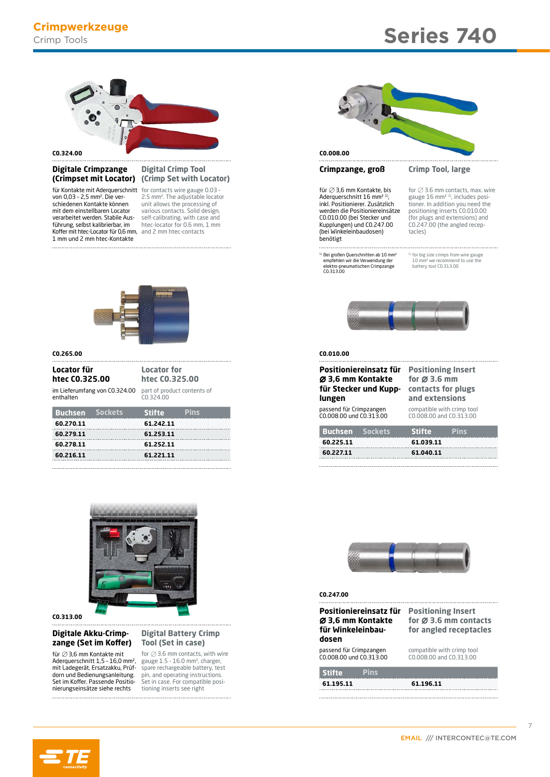# **Series 740**



#### **C0.324.00**

# **Digitale Crimpzange**

**Koffer mit htec-Locator für 0,6 mm,** and 2 mm htec-contacts schiedenen Kontakte können mit dem einstellbaren Locator verarbeitet werden. Stabile Ausführung, selbst kalibrierbar, im 1 mm und 2 mm htec-Kontakte

# **Digital Crimp Tool (Crimp Set with Locator) (Crimpset mit Locator)**

für Kontakte mit Aderquerschnitt for contacts wire gauge 0.03 -<br>von 0,03 - 2,5 mm². Die ver- 2.5 mm². The adjustable locator unit allows the processing of various contacts. Solid design, self-calibrating, with case and htec-locator for 0.6 mm, 1 mm



#### **C0.265.00**

enthalten

# **Locator für htec C0.325.00**

**htec C0.325.00** im Lieferumfang von C0.324.00 part of product contents of C0.324.00

**Locator for** 

| <b>Buchsen</b> Sockets | <b>Stifte</b> | <b>Pins</b> |
|------------------------|---------------|-------------|
| 60.270.11              | 61.242.11     |             |
| 60.279.11              | 61.253.11     |             |
| 60.278.11              | 61.252.11     |             |
| 60.216.11              | 61.221.11     |             |
|                        |               |             |



**C0.313.00**

#### **Digitale Akku-Crimpzange (Set im Koffer)**

für ∅ 3,6 mm Kontakte mit<br>Aderquerschnitt 1,5 - 16,0 mm², mit Ladegerät, Ersatzakku, Prüfdorn und Bedienungsanleitung. Set im Koffer. Passende Positionierungseinsätze siehe rechts

#### **Digital Battery Crimp Tool (Set in case)**

for ∅ 3.6 mm contacts, with wire<br>gauge 1.5 - 16.0 mm², charger,<br>spare rechargeable battery, test pin, and operating instructions. Set in case. For compatible positioning inserts see right



## **Crimpzange, groß**

für  $\oslash$  3,6 mm Kontakte, bis Aderquerschnitt 16 mm<sup>2 1)</sup> inkl. Positionierer. Zusätzlich werden die Positioniereinsätze C0.010.00 (bei Stecker und Kupplungen) und C0.247.00 (bei Winkeleinbaudosen) benötigt

1) Bei großen Querschnitten ab 10 mm² empfehlen wir die Verwendung der elektro-pneumatischen Crimpzange C0.313.00

#### **Crimp Tool, large**

for  $\emptyset$  3.6 mm contacts, max. wire gauge 16 mm<sup>2</sup> <sup>1</sup>, includes positioner. In addition you need the positioning inserts C0.010.00 (for plugs and extensions) and C0.247.00 (the angled receptacles)

<sup>1)</sup> for big size crimps from wire gauge<br>10 mm<sup>2</sup> we recommend to use the battery tool C0.313.00



#### **C0.010.00**

| Ø 3,6 mm Kontakte<br>lungen                        | Positioniereinsatz für<br>für Stecker und Kupp- | for $\varnothing$ 3.6 mm<br>and extensions | <b>Positioning Insert</b><br>contacts for plugs       |  |
|----------------------------------------------------|-------------------------------------------------|--------------------------------------------|-------------------------------------------------------|--|
| passend für Crimpzangen<br>C0.008.00 und C0.313.00 |                                                 |                                            | compatible with crimp tool<br>C0.008.00 and C0.313.00 |  |
| <b>Buchsen</b> Sockets                             |                                                 | <b>Stifte</b>                              | <b>Pins</b>                                           |  |
| 60.225.11                                          |                                                 | 61.039.11                                  |                                                       |  |
| 60.227.11                                          |                                                 | 61.040.11                                  |                                                       |  |
|                                                    |                                                 |                                            |                                                       |  |



#### **C0.247.00**

| Positioniereinsatz für<br>Ø 3,6 mm Kontakte<br>für Winkeleinbau-<br>dosen | <b>Positioning Insert</b><br>for $\varnothing$ 3.6 mm contacts<br>for angled receptacles |
|---------------------------------------------------------------------------|------------------------------------------------------------------------------------------|
| passend für Crimpzangen<br>C0.008.00 und C0.313.00                        | compatible with crimp tool<br>CO.008.00 and CO.313.00                                    |
| <b>Stifte</b><br><b>Pins</b>                                              |                                                                                          |
| 61.195.11                                                                 | 61.196.11                                                                                |



7